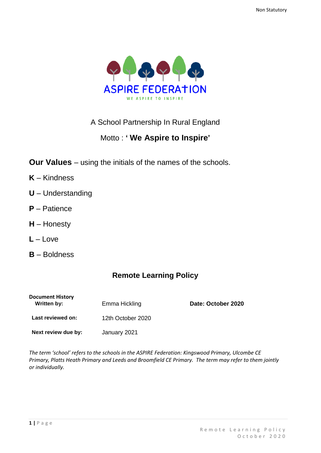

# A School Partnership In Rural England

# Motto : **' We Aspire to Inspire'**

- **Our Values** using the initials of the names of the schools.
- **K** Kindness
- **U** Understanding
- **P** Patience
- **H** Honesty
- **L** Love
- **B** Boldness

# **Remote Learning Policy**

| <b>Document History</b><br>Written by: | Emma Hickling     | Date: October 2020 |
|----------------------------------------|-------------------|--------------------|
| Last reviewed on:                      | 12th October 2020 |                    |
| Next review due by:                    | January 2021      |                    |

*The term 'school' refers to the schools in the ASPIRE Federation: Kingswood Primary, Ulcombe CE Primary, Platts Heath Primary and Leeds and Broomfield CE Primary. The term may refer to them jointly or individually.*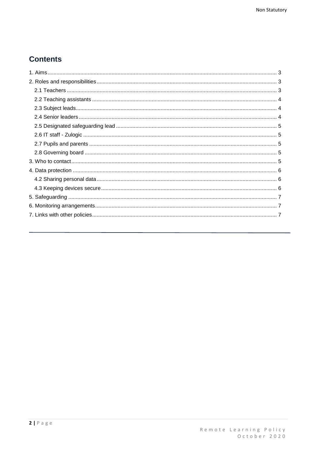# **Contents**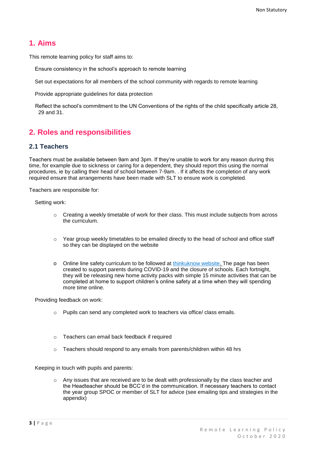### <span id="page-2-0"></span>**1. Aims**

This remote learning policy for staff aims to:

Ensure consistency in the school's approach to remote learning

Set out expectations for all members of the school community with regards to remote learning

Provide appropriate guidelines for data protection

Reflect the school's commitment to the UN Conventions of the rights of the child specifically article 28, 29 and 31.

## <span id="page-2-1"></span>**2. Roles and responsibilities**

#### <span id="page-2-2"></span>**2.1 Teachers**

Teachers must be available between 9am and 3pm. If they're unable to work for any reason during this time, for example due to sickness or caring for a dependent, they should report this using the normal procedures, ie by calling their head of school between 7-9am. . If it affects the completion of any work required ensure that arrangements have been made with SLT to ensure work is completed.

Teachers are responsible for:

Setting work:

- $\circ$  Creating a weekly timetable of work for their class. This must include subjects from across the curriculum.
- $\circ$  Year group weekly timetables to be emailed directly to the head of school and office staff so they can be displayed on the website
- o Online line safety curriculum to be followed at [thinkuknow website. T](https://www.thinkuknow.co.uk/parents/Support-tools/home-activity-worksheets/?utm_source=Thinkuknow&utm_campaign=46e6250b3e-TUK_ONLINE_SAFETY_AT_HOME_07_04_20&utm_medium=email&utm_term=0_0b54505554-46e6250b3e-552159455)he page has been created to support parents during COVID-19 and the closure of schools. Each fortnight, they will be releasing new home activity packs with simple 15 minute activities that can be completed at home to support children's online safety at a time when they will spending more time online.

Providing feedback on work:

- Pupils can send any completed work to teachers via office/ class emails.
- o Teachers can email back feedback if required
- o Teachers should respond to any emails from parents/children within 48 hrs

Keeping in touch with pupils and parents:

Any issues that are received are to be dealt with professionally by the class teacher and the Headteacher should be BCC'd in the communication. If necessary teachers to contact the year group SPOC or member of SLT for advice (see emailing tips and strategies in the  $a$ ppendix $\overline{a}$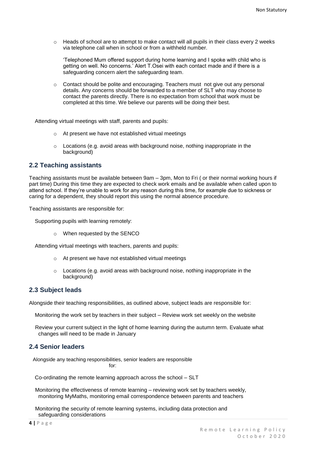$\circ$  Heads of school are to attempt to make contact will all pupils in their class every 2 weeks via telephone call when in school or from a withheld number.

'Telephoned Mum offered support during home learning and I spoke with child who is getting on well. No concerns.' Alert T.Osei with each contact made and if there is a safeguarding concern alert the safeguarding team.

 $\circ$  Contact should be polite and encouraging. Teachers must not give out any personal details. Any concerns should be forwarded to a member of SLT who may choose to contact the parents directly. There is no expectation from school that work must be completed at this time. We believe our parents will be doing their best.

Attending virtual meetings with staff, parents and pupils:

- o At present we have not established virtual meetings
- $\circ$  Locations (e.g. avoid areas with background noise, nothing inappropriate in the background)

#### <span id="page-3-0"></span>**2.2 Teaching assistants**

Teaching assistants must be available between 9am – 3pm, Mon to Fri ( or their normal working hours if part time) During this time they are expected to check work emails and be available when called upon to attend school. If they're unable to work for any reason during this time, for example due to sickness or caring for a dependent, they should report this using the normal absence procedure.

Teaching assistants are responsible for:

Supporting pupils with learning remotely:

o When requested by the SENCO

Attending virtual meetings with teachers, parents and pupils:

- o At present we have not established virtual meetings
- o Locations (e.g. avoid areas with background noise, nothing inappropriate in the background)

#### <span id="page-3-1"></span>**2.3 Subject leads**

Alongside their teaching responsibilities, as outlined above, subject leads are responsible for:

Monitoring the work set by teachers in their subject – Review work set weekly on the website

Review your current subject in the light of home learning during the autumn term. Evaluate what changes will need to be made in January

#### <span id="page-3-2"></span>**2.4 Senior leaders**

Alongside any teaching responsibilities, senior leaders are responsible for:

Co-ordinating the remote learning approach across the school – SLT

Monitoring the effectiveness of remote learning – reviewing work set by teachers weekly, monitoring MyMaths, monitoring email correspondence between parents and teachers

Monitoring the security of remote learning systems, including data protection and safeguarding considerations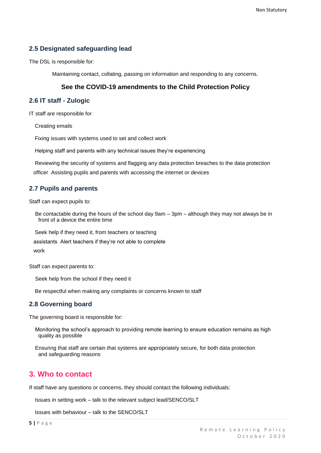### <span id="page-4-0"></span>**2.5 Designated safeguarding lead**

The DSL is responsible for:

Maintaining contact, collating, passing on information and responding to any concerns.

#### **See the COVID-19 amendments to the Child Protection Policy**

#### <span id="page-4-1"></span>**2.6 IT staff - Zulogic**

IT staff are responsible for

Creating emails

Fixing issues with systems used to set and collect work

Helping staff and parents with any technical issues they're experiencing

Reviewing the security of systems and flagging any data protection breaches to the data protection officer Assisting pupils and parents with accessing the internet or devices

#### <span id="page-4-2"></span>**2.7 Pupils and parents**

Staff can expect pupils to:

Be contactable during the hours of the school day 9am – 3pm – although they may not always be in front of a device the entire time

Seek help if they need it, from teachers or teaching

assistants Alert teachers if they're not able to complete

work

Staff can expect parents to:

Seek help from the school if they need it

Be respectful when making any complaints or concerns known to staff

#### <span id="page-4-3"></span>**2.8 Governing board**

The governing board is responsible for:

Monitoring the school's approach to providing remote learning to ensure education remains as high quality as possible

Ensuring that staff are certain that systems are appropriately secure, for both data protection and safeguarding reasons

## <span id="page-4-4"></span>**3. Who to contact**

If staff have any questions or concerns, they should contact the following individuals:

Issues in setting work – talk to the relevant subject lead/SENCO/SLT

Issues with behaviour – talk to the SENCO/SLT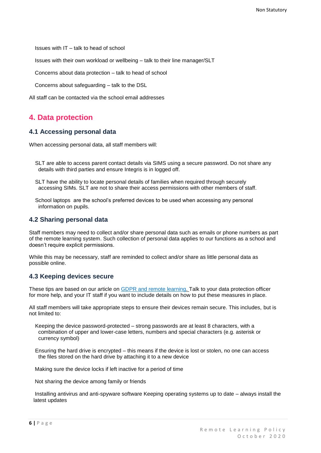Issues with IT – talk to head of school

Issues with their own workload or wellbeing – talk to their line manager/SLT

Concerns about data protection – talk to head of school

Concerns about safeguarding – talk to the DSL

All staff can be contacted via the school email addresses

## <span id="page-5-0"></span>**4. Data protection**

#### **4.1 Accessing personal data**

When accessing personal data, all staff members will:

- SLT are able to access parent contact details via SIMS using a secure password. Do not share any details with third parties and ensure Integris is in logged off.
- SLT have the ability to locate personal details of families when required through securely accessing SIMs. SLT are not to share their access permissions with other members of staff.
- School laptops are the school's preferred devices to be used when accessing any personal information on pupils.

#### <span id="page-5-1"></span>**4.2 Sharing personal data**

Staff members may need to collect and/or share personal data such as emails or phone numbers as part of the remote learning system. Such collection of personal data applies to our functions as a school and doesn't require explicit permissions.

While this may be necessary, staff are reminded to collect and/or share as little personal data as possible online.

#### <span id="page-5-2"></span>**4.3 Keeping devices secure**

These tips are based on our article on [GDPR and remote learning. T](https://schoolleaders.thekeysupport.com/uid/a4f9d627-575d-45f5-9367-040b246c213c/)alk to your data protection officer for more help, and your IT staff if you want to include details on how to put these measures in place.

All staff members will take appropriate steps to ensure their devices remain secure. This includes, but is not limited to:

Keeping the device password-protected – strong passwords are at least 8 characters, with a combination of upper and lower-case letters, numbers and special characters (e.g. asterisk or currency symbol)

Ensuring the hard drive is encrypted – this means if the device is lost or stolen, no one can access the files stored on the hard drive by attaching it to a new device

Making sure the device locks if left inactive for a period of time

Not sharing the device among family or friends

Installing antivirus and anti-spyware software Keeping operating systems up to date – always install the latest updates